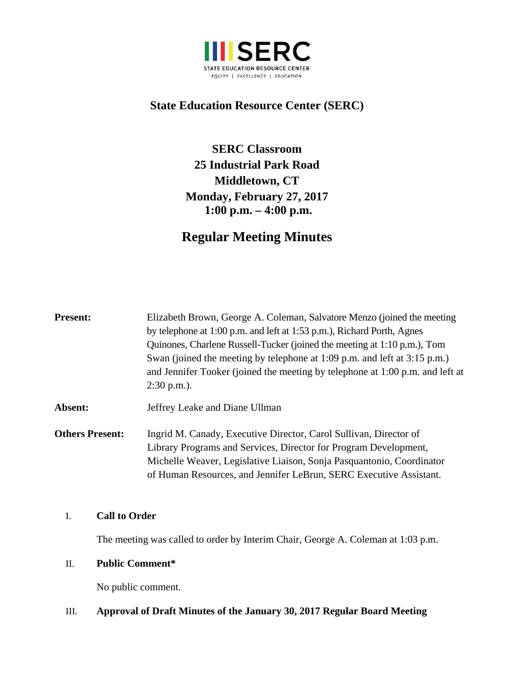

## **State Education Resource Center (SERC)**

**SERC Classroom 25 Industrial Park Road Middletown, CT Monday, February 27, 2017 1:00 p.m. – 4:00 p.m.**

# **Regular Meeting Minutes**

| <b>Present:</b>        | Elizabeth Brown, George A. Coleman, Salvatore Menzo (joined the meeting<br>by telephone at 1:00 p.m. and left at 1:53 p.m.), Richard Porth, Agnes<br>Quinones, Charlene Russell-Tucker (joined the meeting at 1:10 p.m.), Tom<br>Swan (joined the meeting by telephone at 1:09 p.m. and left at 3:15 p.m.)<br>and Jennifer Tooker (joined the meeting by telephone at 1:00 p.m. and left at<br>$2:30$ p.m.). |
|------------------------|--------------------------------------------------------------------------------------------------------------------------------------------------------------------------------------------------------------------------------------------------------------------------------------------------------------------------------------------------------------------------------------------------------------|
| Absent:                | Jeffrey Leake and Diane Ullman                                                                                                                                                                                                                                                                                                                                                                               |
| <b>Others Present:</b> | Ingrid M. Canady, Executive Director, Carol Sullivan, Director of<br>Library Programs and Services, Director for Program Development,<br>Michelle Weaver, Legislative Liaison, Sonja Pasquantonio, Coordinator<br>of Human Resources, and Jennifer LeBrun, SERC Executive Assistant.                                                                                                                         |

#### I. **Call to Order**

The meeting was called to order by Interim Chair, George A. Coleman at 1:03 p.m.

## II. **Public Comment\***

No public comment.

## III. **Approval of Draft Minutes of the January 30, 2017 Regular Board Meeting**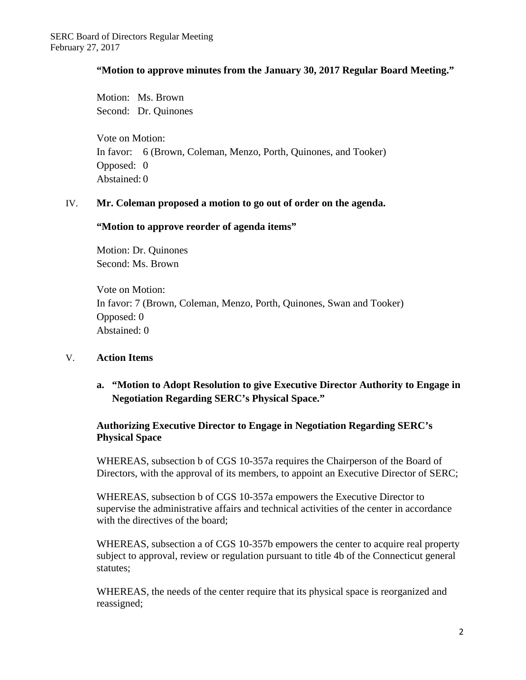### **"Motion to approve minutes from the January 30, 2017 Regular Board Meeting."**

Motion: Ms. Brown Second: Dr. Quinones

Vote on Motion: In favor: 6 (Brown, Coleman, Menzo, Porth, Quinones, and Tooker) Opposed: 0 Abstained: 0

#### IV. **Mr. Coleman proposed a motion to go out of order on the agenda.**

#### **"Motion to approve reorder of agenda items"**

Motion: Dr. Quinones Second: Ms. Brown

Vote on Motion: In favor: 7 (Brown, Coleman, Menzo, Porth, Quinones, Swan and Tooker) Opposed: 0 Abstained: 0

## V. **Action Items**

## **a. "Motion to Adopt Resolution to give Executive Director Authority to Engage in Negotiation Regarding SERC's Physical Space."**

## **Authorizing Executive Director to Engage in Negotiation Regarding SERC's Physical Space**

WHEREAS, subsection b of CGS 10-357a requires the Chairperson of the Board of Directors, with the approval of its members, to appoint an Executive Director of SERC;

WHEREAS, subsection b of CGS 10-357a empowers the Executive Director to supervise the administrative affairs and technical activities of the center in accordance with the directives of the board;

WHEREAS, subsection a of CGS 10-357b empowers the center to acquire real property subject to approval, review or regulation pursuant to title 4b of the Connecticut general statutes;

WHEREAS, the needs of the center require that its physical space is reorganized and reassigned;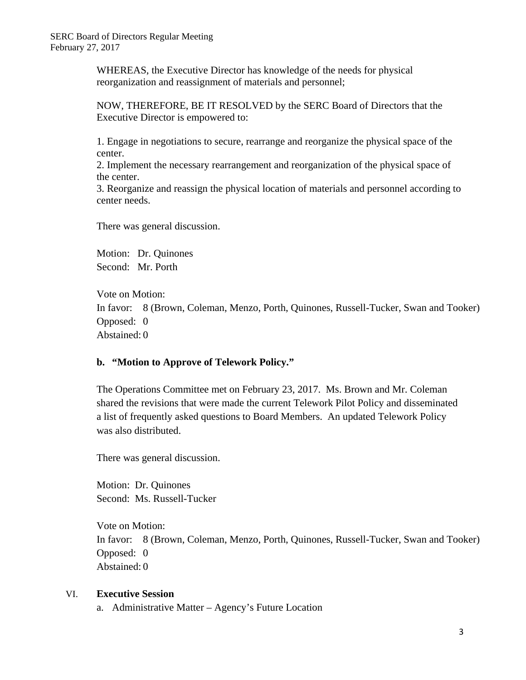WHEREAS, the Executive Director has knowledge of the needs for physical reorganization and reassignment of materials and personnel;

NOW, THEREFORE, BE IT RESOLVED by the SERC Board of Directors that the Executive Director is empowered to:

1. Engage in negotiations to secure, rearrange and reorganize the physical space of the center.

2. Implement the necessary rearrangement and reorganization of the physical space of the center.

3. Reorganize and reassign the physical location of materials and personnel according to center needs.

There was general discussion.

Motion: Dr. Quinones Second: Mr. Porth

Vote on Motion: In favor: 8 (Brown, Coleman, Menzo, Porth, Quinones, Russell-Tucker, Swan and Tooker) Opposed: 0 Abstained: 0

#### **b. "Motion to Approve of Telework Policy."**

The Operations Committee met on February 23, 2017. Ms. Brown and Mr. Coleman shared the revisions that were made the current Telework Pilot Policy and disseminated a list of frequently asked questions to Board Members. An updated Telework Policy was also distributed.

There was general discussion.

Motion: Dr. Quinones Second: Ms. Russell-Tucker

Vote on Motion: In favor: 8 (Brown, Coleman, Menzo, Porth, Quinones, Russell-Tucker, Swan and Tooker) Opposed: 0 Abstained: 0

#### VI. **Executive Session**

a. Administrative Matter – Agency's Future Location